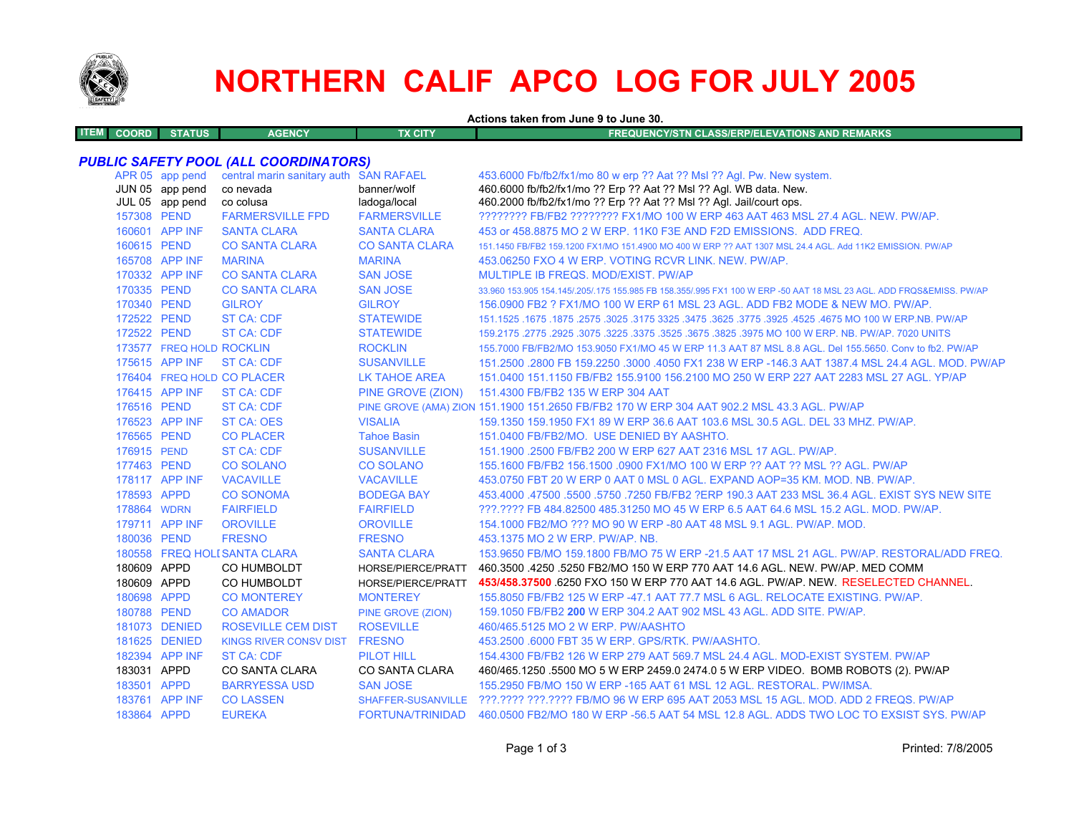

# **NORTHERN CALIF APCO LOG FOR JULY 2005**

**Actions taken from June 9 to June 30.**

| <b>COORD</b> | <b>STILES</b><br>uua | <b>CENOV</b><br>чет.<br><b>TERROR</b> | TX CITY | FREQUENCY/STN CLASS/ERP/ELEVATIONS AND REMARKS |
|--------------|----------------------|---------------------------------------|---------|------------------------------------------------|
|              |                      |                                       |         |                                                |

## *PUBLIC SAFETY POOL (ALL COORDINATORS)*

|             | APR 05 app pend<br>JUN 05 app pend<br>JUL 05 app pend | central marin sanitary auth SAN RAFAEL<br>co nevada<br>co colusa | banner/wolf<br>ladoga/local | 453.6000 Fb/fb2/fx1/mo 80 w erp ?? Aat ?? Msl ?? Agl. Pw. New system.<br>460.6000 fb/fb2/fx1/mo ?? Erp ?? Aat ?? Msl ?? Agl. WB data. New.<br>460.2000 fb/fb2/fx1/mo ?? Erp ?? Aat ?? Msl ?? Agl. Jail/court ops. |
|-------------|-------------------------------------------------------|------------------------------------------------------------------|-----------------------------|-------------------------------------------------------------------------------------------------------------------------------------------------------------------------------------------------------------------|
| 157308 PEND |                                                       | <b>FARMERSVILLE FPD</b>                                          | <b>FARMERSVILLE</b>         | ???????? FB/FB2 ???????? FX1/MO 100 W ERP 463 AAT 463 MSL 27.4 AGL, NEW, PW/AP,                                                                                                                                   |
|             | 160601 APP INF                                        | <b>SANTA CLARA</b>                                               | <b>SANTA CLARA</b>          | 453 or 458,8875 MO 2 W ERP, 11K0 F3E AND F2D EMISSIONS. ADD FREQ.                                                                                                                                                 |
| 160615 PEND |                                                       | <b>CO SANTA CLARA</b>                                            | <b>CO SANTA CLARA</b>       | 151.1450 FB/FB2 159.1200 FX1/MO 151.4900 MO 400 W ERP ?? AAT 1307 MSL 24.4 AGL. Add 11K2 EMISSION, PW/AP                                                                                                          |
|             | 165708 APP INF                                        | <b>MARINA</b>                                                    | <b>MARINA</b>               | 453.06250 FXO 4 W ERP. VOTING RCVR LINK. NEW. PW/AP.                                                                                                                                                              |
|             | 170332 APP INF                                        | <b>CO SANTA CLARA</b>                                            | <b>SAN JOSE</b>             | MULTIPLE IB FREQS. MOD/EXIST. PW/AP                                                                                                                                                                               |
| 170335 PEND |                                                       | <b>CO SANTA CLARA</b>                                            | <b>SAN JOSE</b>             | 33.960 153.905 154.145/.205/.175 155.985 FB 158.355/.995 FX1 100 W ERP -50 AAT 18 MSL 23 AGL. ADD FRQS&EMISS. PW/AP                                                                                               |
| 170340 PEND |                                                       | <b>GILROY</b>                                                    | <b>GILROY</b>               | 156,0900 FB2 ? FX1/MO 100 W ERP 61 MSL 23 AGL, ADD FB2 MODE & NEW MO, PW/AP,                                                                                                                                      |
| 172522 PEND |                                                       | <b>ST CA: CDF</b>                                                | <b>STATEWIDE</b>            | 151.1525 .1675 MO 100 W ERP.NB. PW/AP .2575 .3625 .3475 .3475 .3625 .3475 .3625 .3025 .1675 .1675 .1675 .1675                                                                                                     |
| 172522 PEND |                                                       | <b>ST CA: CDF</b>                                                | <b>STATEWIDE</b>            | 159,2175,2775,2925,3075,3225,3375,3525,3675,3825,3975 MO 100 W ERP, NB, PW/AP, 7020 UNITS                                                                                                                         |
|             | 173577 FREQ HOLD ROCKLIN                              |                                                                  | <b>ROCKLIN</b>              | 155.7000 FB/FB2/MO 153.9050 FX1/MO 45 W ERP 11.3 AAT 87 MSL 8.8 AGL. Del 155.5650. Conv to fb2. PW/AP                                                                                                             |
|             | 175615 APP INF                                        | <b>ST CA: CDF</b>                                                | <b>SUSANVILLE</b>           | 151.2500 .2800 FB 159.2250 .3000 .4050 FX1 238 W ERP -146.3 AAT 1387.4 MSL 24.4 AGL. MOD. PW/AP                                                                                                                   |
|             |                                                       | 176404 FREQ HOLD CO PLACER                                       | <b>LK TAHOE AREA</b>        | 151.0400 151.1150 FB/FB2 155.9100 156.2100 MO 250 W ERP 227 AAT 2283 MSL 27 AGL, YP/AP                                                                                                                            |
|             | 176415 APP INF                                        | <b>ST CA: CDF</b>                                                |                             | PINE GROVE (ZION) 151.4300 FB/FB2 135 W ERP 304 AAT                                                                                                                                                               |
| 176516 PEND |                                                       | <b>ST CA: CDF</b>                                                |                             | PINE GROVE (AMA) ZION 151.1900 151.2650 FB/FB2 170 W ERP 304 AAT 902.2 MSL 43.3 AGL. PW/AP                                                                                                                        |
|             | 176523 APP INF                                        | ST CA: OES                                                       | <b>VISALIA</b>              | 159.1350 159.1950 FX1 89 W ERP 36.6 AAT 103.6 MSL 30.5 AGL, DEL 33 MHZ, PW/AP,                                                                                                                                    |
| 176565 PEND |                                                       | <b>CO PLACER</b>                                                 | <b>Tahoe Basin</b>          | 151.0400 FB/FB2/MO. USE DENIED BY AASHTO.                                                                                                                                                                         |
| 176915 PEND |                                                       | <b>ST CA: CDF</b>                                                | <b>SUSANVILLE</b>           | 151.1900 .2500 FB/FB2 200 W ERP 627 AAT 2316 MSL 17 AGL, PW/AP.                                                                                                                                                   |
| 177463 PEND |                                                       | <b>CO SOLANO</b>                                                 | <b>CO SOLANO</b>            | 155,1600 FB/FB2 156,1500 .0900 FX1/MO 100 W ERP ?? AAT ?? MSL ?? AGL, PW/AP                                                                                                                                       |
|             | 178117 APP INF                                        | <b>VACAVILLE</b>                                                 | <b>VACAVILLE</b>            | 453.0750 FBT 20 W ERP 0 AAT 0 MSL 0 AGL. EXPAND AOP=35 KM, MOD, NB, PW/AP,                                                                                                                                        |
| 178593 APPD |                                                       | <b>CO SONOMA</b>                                                 | <b>BODEGA BAY</b>           | 453.4000 .47500 .5500 .5750 .7250 FB/FB2 ?ERP 190.3 AAT 233 MSL 36.4 AGL. EXIST SYS NEW SITE                                                                                                                      |
| 178864 WDRN |                                                       | <b>FAIRFIELD</b>                                                 | <b>FAIRFIELD</b>            | ???.???? FB 484.82500 485.31250 MO 45 W ERP 6.5 AAT 64.6 MSL 15.2 AGL. MOD. PW/AP.                                                                                                                                |
|             | 179711 APP INF                                        | <b>OROVILLE</b>                                                  | <b>OROVILLE</b>             | 154,1000 FB2/MO ??? MO 90 W ERP -80 AAT 48 MSL 9.1 AGL, PW/AP, MOD.                                                                                                                                               |
| 180036 PEND |                                                       | <b>FRESNO</b>                                                    | <b>FRESNO</b>               | 453.1375 MO 2 W ERP. PW/AP. NB.                                                                                                                                                                                   |
|             |                                                       | 180558 FREQ HOLI SANTA CLARA                                     | <b>SANTA CLARA</b>          | 153,9650 FB/MO 159,1800 FB/MO 75 W ERP -21.5 AAT 17 MSL 21 AGL, PW/AP, RESTORAL/ADD FREQ.                                                                                                                         |
| 180609 APPD |                                                       | CO HUMBOLDT                                                      | HORSE/PIERCE/PRATT          | 460.3500 .4250 .5250 FB2/MO 150 W ERP 770 AAT 14.6 AGL. NEW, PW/AP, MED COMM                                                                                                                                      |
| 180609 APPD |                                                       | CO HUMBOLDT                                                      | HORSE/PIERCE/PRATT          | 453/458.37500 6250 FXO 150 W ERP 770 AAT 14.6 AGL. PW/AP. NEW. RESELECTED CHANNEL                                                                                                                                 |
| 180698 APPD |                                                       | <b>CO MONTEREY</b>                                               | <b>MONTEREY</b>             | 155,8050 FB/FB2 125 W ERP -47.1 AAT 77.7 MSL 6 AGL, RELOCATE EXISTING, PW/AP.                                                                                                                                     |
| 180788 PEND |                                                       | <b>CO AMADOR</b>                                                 | PINE GROVE (ZION)           | 159.1050 FB/FB2 200 W ERP 304.2 AAT 902 MSL 43 AGL. ADD SITE. PW/AP.                                                                                                                                              |
|             | 181073 DENIED                                         | <b>ROSEVILLE CEM DIST</b>                                        | <b>ROSEVILLE</b>            | 460/465.5125 MO 2 W ERP. PW/AASHTO                                                                                                                                                                                |
|             | 181625 DENIED                                         | KINGS RIVER CONSV DIST                                           | <b>FRESNO</b>               | 453.2500 .6000 FBT 35 W ERP. GPS/RTK. PW/AASHTO.                                                                                                                                                                  |
|             | 182394 APP INF                                        | <b>ST CA: CDF</b>                                                | <b>PILOT HILL</b>           | 154,4300 FB/FB2 126 W ERP 279 AAT 569.7 MSL 24.4 AGL, MOD-EXIST SYSTEM, PW/AP                                                                                                                                     |
| 183031 APPD |                                                       | <b>CO SANTA CLARA</b>                                            | CO SANTA CLARA              | 460/465.1250 .5500 MO 5 W ERP 2459.0 2474.0 5 W ERP VIDEO. BOMB ROBOTS (2). PW/AP                                                                                                                                 |
| 183501 APPD |                                                       | <b>BARRYESSA USD</b>                                             | <b>SAN JOSE</b>             | 155,2950 FB/MO 150 W ERP -165 AAT 61 MSL 12 AGL, RESTORAL, PW/IMSA.                                                                                                                                               |
|             | 183761 APP INF                                        | <b>CO LASSEN</b>                                                 |                             | SHAFFER-SUSANVILLE ???.???? ???.???? FB/MO 96 W ERP 695 AAT 2053 MSL 15 AGL, MOD, ADD 2 FREQS, PW/AP                                                                                                              |
| 183864 APPD |                                                       | <b>EUREKA</b>                                                    |                             | FORTUNA/TRINIDAD 460.0500 FB2/MO 180 W ERP -56.5 AAT 54 MSL 12.8 AGL. ADDS TWO LOC TO EXSIST SYS. PW/AP                                                                                                           |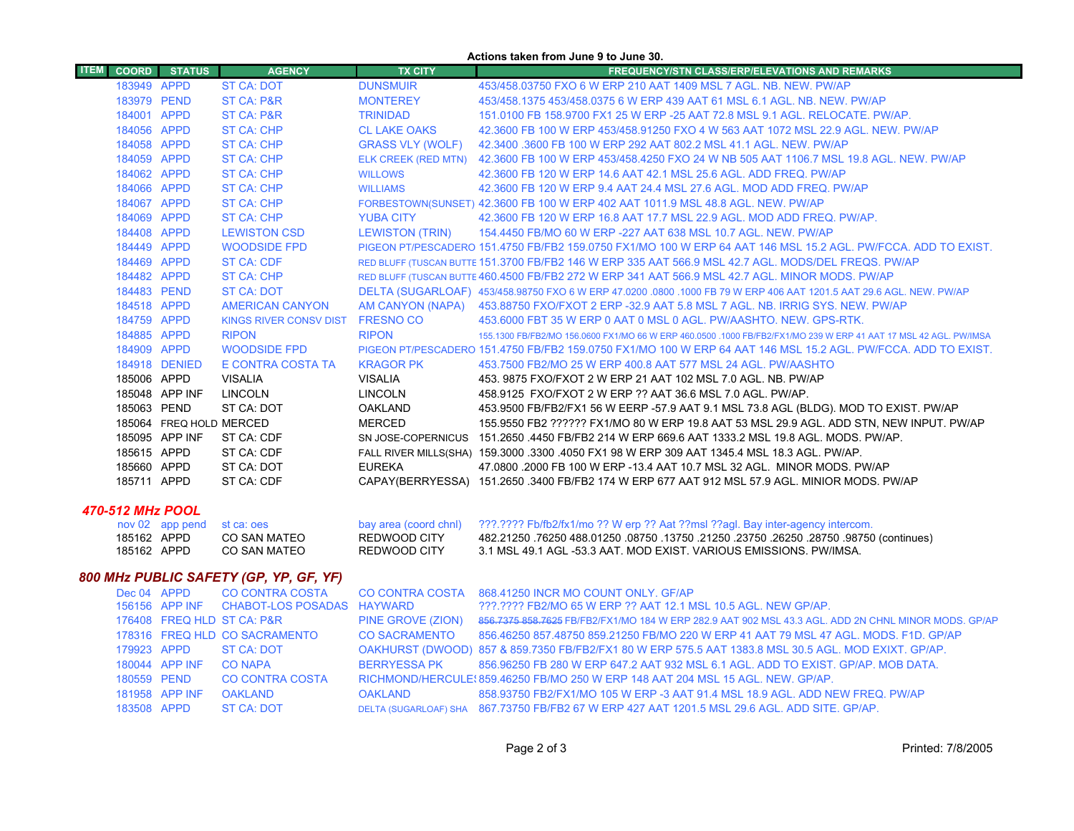|                  | Actions taken from June 9 to June 30. |                         |                               |                         |                                                                                                                     |  |
|------------------|---------------------------------------|-------------------------|-------------------------------|-------------------------|---------------------------------------------------------------------------------------------------------------------|--|
| <b>ITEM</b>      | <b>COORD</b>                          | <b>STATUS</b>           | <b>AGENCY</b>                 | <b>TX CITY</b>          | <b>FREQUENCY/STN CLASS/ERP/ELEVATIONS AND REMARKS</b>                                                               |  |
|                  | 183949 APPD                           |                         | <b>ST CA: DOT</b>             | <b>DUNSMUIR</b>         | 453/458.03750 FXO 6 W ERP 210 AAT 1409 MSL 7 AGL, NB, NEW, PW/AP                                                    |  |
|                  | 183979 PEND                           |                         | <b>ST CA: P&amp;R</b>         | <b>MONTEREY</b>         | 453/458.1375 453/458.0375 6 W ERP 439 AAT 61 MSL 6.1 AGL, NB, NEW, PW/AP                                            |  |
|                  | 184001 APPD                           |                         | <b>ST CA: P&amp;R</b>         | <b>TRINIDAD</b>         | 151.0100 FB 158.9700 FX1 25 W ERP -25 AAT 72.8 MSL 9.1 AGL, RELOCATE, PW/AP.                                        |  |
|                  | 184056 APPD                           |                         | <b>ST CA: CHP</b>             | <b>CL LAKE OAKS</b>     | 42.3600 FB 100 W ERP 453/458.91250 FXO 4 W 563 AAT 1072 MSL 22.9 AGL, NEW, PW/AP                                    |  |
|                  | 184058 APPD                           |                         | <b>ST CA: CHP</b>             | <b>GRASS VLY (WOLF)</b> | 42.3400 .3600 FB 100 W ERP 292 AAT 802.2 MSL 41.1 AGL. NEW. PW/AP                                                   |  |
|                  | 184059 APPD                           |                         | <b>ST CA: CHP</b>             |                         | ELK CREEK (RED MTN) 42.3600 FB 100 W ERP 453/458.4250 FXO 24 W NB 505 AAT 1106.7 MSL 19.8 AGL. NEW. PW/AP           |  |
|                  | 184062 APPD                           |                         | <b>ST CA: CHP</b>             | <b>WILLOWS</b>          | 42.3600 FB 120 W ERP 14.6 AAT 42.1 MSL 25.6 AGL, ADD FREQ, PW/AP                                                    |  |
|                  | 184066 APPD                           |                         | <b>ST CA: CHP</b>             | <b>WILLIAMS</b>         | 42,3600 FB 120 W ERP 9.4 AAT 24.4 MSL 27.6 AGL, MOD ADD FREQ, PW/AP                                                 |  |
|                  | 184067 APPD                           |                         | <b>ST CA: CHP</b>             |                         | FORBESTOWN(SUNSET) 42.3600 FB 100 W ERP 402 AAT 1011.9 MSL 48.8 AGL. NEW. PW/AP                                     |  |
|                  | 184069 APPD                           |                         | <b>ST CA: CHP</b>             | <b>YUBA CITY</b>        | 42,3600 FB 120 W ERP 16.8 AAT 17.7 MSL 22.9 AGL, MOD ADD FREQ, PW/AP.                                               |  |
|                  | 184408 APPD                           |                         | <b>LEWISTON CSD</b>           | <b>LEWISTON (TRIN)</b>  | 154,4450 FB/MO 60 W ERP -227 AAT 638 MSL 10.7 AGL, NEW, PW/AP                                                       |  |
|                  | 184449 APPD                           |                         | <b>WOODSIDE FPD</b>           |                         | PIGEON PT/PESCADERO 151.4750 FB/FB2 159.0750 FX1/MO 100 W ERP 64 AAT 146 MSL 15.2 AGL. PW/FCCA, ADD TO EXIST,       |  |
|                  | 184469 APPD                           |                         | <b>ST CA: CDF</b>             |                         | RED BLUFF (TUSCAN BUTTE 151.3700 FB/FB2 146 W ERP 335 AAT 566.9 MSL 42.7 AGL, MODS/DEL FREQS, PW/AP                 |  |
|                  | 184482 APPD                           |                         | <b>ST CA: CHP</b>             |                         | RED BLUFF (TUSCAN BUTTE 460.4500 FB/FB2 272 W ERP 341 AAT 566.9 MSL 42.7 AGL, MINOR MODS, PW/AP                     |  |
|                  | 184483 PEND                           |                         | <b>ST CA: DOT</b>             |                         | DELTA (SUGARLOAF) 453/458.98750 FXO 6 W ERP 47.0200 .0800 .1000 FB 79 W ERP 406 AAT 1201.5 AAT 29.6 AGL. NEW. PW/AP |  |
|                  | 184518 APPD                           |                         | <b>AMERICAN CANYON</b>        |                         | AM CANYON (NAPA) 453.88750 FXO/FXOT 2 ERP -32.9 AAT 5.8 MSL 7 AGL. NB. IRRIG SYS. NEW. PW/AP                        |  |
|                  | 184759 APPD                           |                         | <b>KINGS RIVER CONSV DIST</b> | <b>FRESNO CO</b>        | 453,6000 FBT 35 W ERP 0 AAT 0 MSL 0 AGL, PW/AASHTO, NEW, GPS-RTK.                                                   |  |
|                  | 184885 APPD                           |                         | <b>RIPON</b>                  | <b>RIPON</b>            | 155.1300 FB/FB2/MO 156.0600 FX1/MO 66 W ERP 460.0500 .1000 FB/FB2/FX1/MO 239 W ERP 41 AAT 17 MSL 42 AGL, PW/IMSA    |  |
|                  | 184909 APPD                           |                         | <b>WOODSIDE FPD</b>           |                         | PIGEON PT/PESCADERO 151.4750 FB/FB2 159.0750 FX1/MO 100 W ERP 64 AAT 146 MSL 15.2 AGL. PW/FCCA. ADD TO EXIST.       |  |
|                  |                                       | 184918 DENIED           | E CONTRA COSTA TA             | <b>KRAGOR PK</b>        | 453.7500 FB2/MO 25 W ERP 400.8 AAT 577 MSL 24 AGL. PW/AASHTO                                                        |  |
|                  | 185006 APPD                           |                         | <b>VISALIA</b>                | <b>VISALIA</b>          | 453, 9875 FXO/FXOT 2 W ERP 21 AAT 102 MSL 7.0 AGL, NB, PW/AP                                                        |  |
|                  |                                       | 185048 APP INF          | <b>LINCOLN</b>                | <b>LINCOLN</b>          | 458.9125 FXO/FXOT 2 W ERP ?? AAT 36.6 MSL 7.0 AGL, PW/AP.                                                           |  |
|                  | 185063 PEND                           |                         | ST CA: DOT                    | <b>OAKLAND</b>          | 453.9500 FB/FB2/FX1 56 W EERP -57.9 AAT 9.1 MSL 73.8 AGL (BLDG). MOD TO EXIST. PW/AP                                |  |
|                  |                                       | 185064 FREQ HOLD MERCED |                               | <b>MERCED</b>           | 155.9550 FB2 ?????? FX1/MO 80 W ERP 19.8 AAT 53 MSL 29.9 AGL. ADD STN, NEW INPUT. PW/AP                             |  |
|                  |                                       | 185095 APP INF          | ST CA: CDF                    | SN JOSE-COPERNICUS      | 151.2650 .4450 FB/FB2 214 W ERP 669.6 AAT 1333.2 MSL 19.8 AGL. MODS, PW/AP.                                         |  |
|                  | 185615 APPD                           |                         | ST CA: CDF                    |                         | FALL RIVER MILLS(SHA) 159.3000 .3300 .4050 FX1 98 W ERP 309 AAT 1345.4 MSL 18.3 AGL. PW/AP.                         |  |
|                  | 185660 APPD                           |                         | ST CA: DOT                    | <b>EUREKA</b>           | 47,0800,2000 FB 100 W ERP -13.4 AAT 10.7 MSL 32 AGL. MINOR MODS, PW/AP                                              |  |
|                  | 185711 APPD                           |                         | ST CA: CDF                    |                         | CAPAY(BERRYESSA) 151.2650 .3400 FB/FB2 174 W ERP 677 AAT 912 MSL 57.9 AGL. MINIOR MODS. PW/AP                       |  |
| 470-512 MHz POOL |                                       |                         |                               |                         |                                                                                                                     |  |
|                  |                                       | nov 02 app pend         | st ca: oes                    | bay area (coord chnl)   | ???.???? Fb/fb2/fx1/mo ?? W erp ?? Aat ??msl ??agl. Bay inter-agency intercom.                                      |  |
|                  | 185162 APPD                           |                         | <b>CO SAN MATEO</b>           | REDWOOD CITY            | (continues) 08750 28750 28750 28750 28750 28750 26250 68750 76250 488.01250 08750                                   |  |
|                  | 185162 APPD                           |                         | <b>CO SAN MATEO</b>           | <b>REDWOOD CITY</b>     | 3.1 MSL 49.1 AGL -53.3 AAT. MOD EXIST. VARIOUS EMISSIONS, PW/IMSA.                                                  |  |

## *800 MHz PUBLIC SAFETY (GP, YP, GF, YF)*

| Dec 04 APPD |                | <b>CO CONTRA COSTA</b>                    |                      | CO CONTRA COSTA 868.41250 INCR MO COUNT ONLY. GF/AP                                                  |
|-------------|----------------|-------------------------------------------|----------------------|------------------------------------------------------------------------------------------------------|
|             |                | 156156 APP INF CHABOT-LOS POSADAS HAYWARD |                      | ???.???? FB2/MO 65 W ERP ?? AAT 12.1 MSL 10.5 AGL. NEW GP/AP.                                        |
|             |                | 176408 FREQ HLD ST CA: P&R                | PINE GROVE (ZION)    | 856.7375 858.7625 FB/FB2/FX1/MO 184 W ERP 282.9 AAT 902 MSL 43.3 AGL. ADD 2N CHNL MINOR MODS. GP/AP  |
|             |                | 178316 FREQ HLD CO SACRAMENTO             | <b>CO SACRAMENTO</b> | 856.46250 857.48750 859.21250 FB/MO 220 W ERP 41 AAT 79 MSL 47 AGL, MODS, F1D, GP/AP                 |
| 179923 APPD |                | ST CA: DOT                                |                      | OAKHURST (DWOOD) 857 & 859.7350 FB/FB2/FX1 80 W ERP 575.5 AAT 1383.8 MSL 30.5 AGL. MOD EXIXT. GP/AP. |
|             | 180044 APP INF | <b>CO NAPA</b>                            | BERRYESSA PK         | 856.96250 FB 280 W ERP 647.2 AAT 932 MSL 6.1 AGL. ADD TO EXIST. GP/AP. MOB DATA.                     |
| 180559 PEND |                | <b>CO CONTRA COSTA</b>                    |                      | RICHMOND/HERCULE: 859.46250 FB/MO 250 W ERP 148 AAT 204 MSL 15 AGL. NEW. GP/AP.                      |
|             | 181958 APP INF | <b>OAKLAND</b>                            | <b>OAKLAND</b>       | 858.93750 FB2/FX1/MO 105 W ERP -3 AAT 91.4 MSL 18.9 AGL, ADD NEW FREQ, PW/AP                         |
| 183508 APPD |                | ST CA: DOT                                |                      | DELTA (SUGARLOAF) SHA 867.73750 FB/FB2 67 W ERP 427 AAT 1201.5 MSL 29.6 AGL. ADD SITE. GP/AP.        |